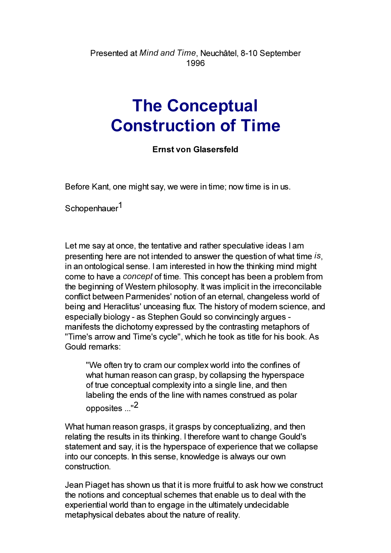Presented at Mind and Time, Neuchâtel, 8-10 September 1996

## The Conceptual Construction of Time

## Ernst von Glasersfeld

Before Kant, one might say, we were in time; now time is in us.

Schopenhauer<sup>1</sup>

Let me say at once, the tentative and rather speculative ideas I am presenting here are not intended to answer the question of what time is, in an ontological sense. I am interested in how the thinking mind might come to have a concept of time. This concept has been a problem from the beginning of Western philosophy. It was implicit in the irreconcilable conflict between Parmenides' notion of an eternal, changeless world of being and Heraclitus' unceasing flux. The history of modern science, and especially biology - as Stephen Gould so convincingly argues manifests the dichotomy expressed by the contrasting metaphors of "Time's arrow and Time's cycle", which he took as title for his book. As Gould remarks:

"We often try to cram our complex world into the confines of what human reason can grasp, by collapsing the hyperspace of true conceptual complexity into a single line, and then labeling the ends of the line with names construed as polar opposites ..."2

What human reason grasps, it grasps by conceptualizing, and then relating the results in its thinking. I therefore want to change Gould's statement and say, it is the hyperspace of experience that we collapse into our concepts. In this sense, knowledge is always our own construction.

Jean Piaget has shown us that it is more fruitful to ask how we construct the notions and conceptual schemes that enable us to deal with the experiential world than to engage in the ultimately undecidable metaphysical debates about the nature of reality.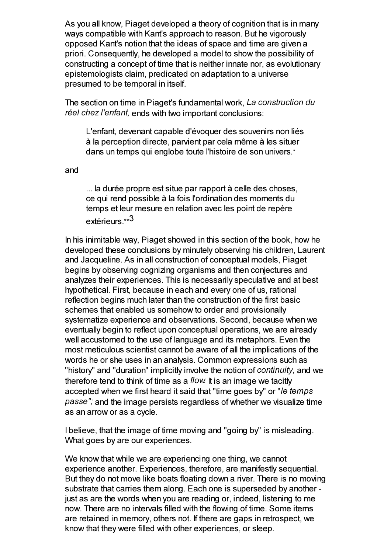As you all know, Piaget developed a theory of cognition that is in many ways compatible with Kant's approach to reason. But he vigorously opposed Kant's notion that the ideas of space and time are given a priori. Consequently, he developed a model to show the possibility of constructing a concept of time that is neither innate nor, as evolutionary epistemologists claim, predicated on adaptation to a universe presumed to be temporal in itself.

The section on time in Piaget's fundamental work, La construction du réel chez l'enfant, ends with two important conclusions:

L'enfant, devenant capable d'évoquer des souvenirs non liés à la perception directe, parvient par cela même à les situer dans un temps qui englobe toute l'histoire de son univers.\*

and

... la durée propre est situe par rapport à celle des choses, ce qui rend possible à la fois l'ordination des moments du temps et leur mesure en relation avec les point de repère extérieurs.\*\*<sup>3</sup>

In his inimitable way, Piaget showed in this section of the book, how he developed these conclusions by minutely observing his children, Laurent and Jacqueline. As in all construction of conceptual models, Piaget begins by observing cognizing organisms and then conjectures and analyzes their experiences. This is necessarily speculative and at best hypothetical. First, because in each and every one of us, rational reflection begins much later than the construction of the first basic schemes that enabled us somehow to order and provisionally systematize experience and observations. Second, because when we eventually begin to reflect upon conceptual operations, we are already well accustomed to the use of language and its metaphors. Even the most meticulous scientist cannot be aware of all the implications of the words he or she uses in an analysis. Common expressions such as "history" and "duration" implicitly involve the notion of *continuity*, and we therefore tend to think of time as a flow. It is an image we tacitly accepted when we first heard it said that "time goes by" or "le temps passe"; and the image persists regardless of whether we visualize time as an arrow or as a cycle.

I believe, that the image of time moving and "going by" is misleading. What goes by are our experiences.

We know that while we are experiencing one thing, we cannot experience another. Experiences, therefore, are manifestly sequential. But they do not move like boats floating down a river. There is no moving substrate that carries them along. Each one is superseded by another just as are the words when you are reading or, indeed, listening to me now. There are no intervals filled with the flowing of time. Some items are retained in memory, others not. If there are gaps in retrospect, we know that they were filled with other experiences, or sleep.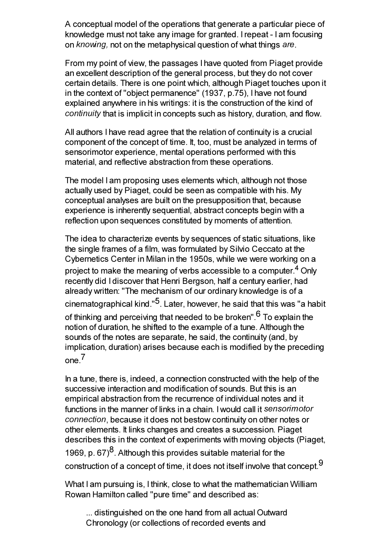A conceptual model of the operations that generate a particular piece of knowledge must not take any image for granted. I repeat - I am focusing on knowing, not on the metaphysical question of what things are.

From my point of view, the passages I have quoted from Piaget provide an excellent description of the general process, but they do not cover certain details. There is one point which, although Piaget touches upon it in the context of "object permanence" (1937, p.75), I have not found explained anywhere in his writings: it is the construction of the kind of continuity that is implicit in concepts such as history, duration, and flow.

All authors I have read agree that the relation of continuity is a crucial component of the concept of time. It, too, must be analyzed in terms of sensorimotor experience, mental operations performed with this material, and reflective abstraction from these operations.

The model I am proposing uses elements which, although not those actually used by Piaget, could be seen as compatible with his. My conceptual analyses are built on the presupposition that, because experience is inherently sequential, abstract concepts begin with a reflection upon sequences constituted by moments of attention.

The idea to characterize events by sequences of static situations, like the single frames of a film, was formulated by Silvio Ceccato at the Cybernetics Center in Milan in the 1950s, while we were working on a project to make the meaning of verbs accessible to a computer.<sup>4</sup> Only recently did I discover that Henri Bergson, half a century earlier, had already written: "The mechanism of our ordinary knowledge is of a cinematographical kind."5. Later, however, he said that this was "a habit of thinking and perceiving that needed to be broken".<sup>6</sup> To explain the notion of duration, he shifted to the example of a tune. Although the sounds of the notes are separate, he said, the continuity (and, by implication, duration) arises because each is modified by the preceding  $one<sup>7</sup>$ 

In a tune, there is, indeed, a connection constructed with the help of the successive interaction and modification of sounds. But this is an empirical abstraction from the recurrence of individual notes and it functions in the manner of links in a chain. I would call it sensorimotor connection, because it does not bestow continuity on other notes or other elements. It links changes and creates a succession. Piaget describes this in the context of experiments with moving objects (Piaget, 1969, p. 67 $^{8}$ . Although this provides suitable material for the construction of a concept of time, it does not itself involve that concept.  $9$ 

What I am pursuing is, I think, close to what the mathematician William Rowan Hamilton called "pure time" and described as:

... distinguished on the one hand from all actual Outward Chronology (or collections of recorded events and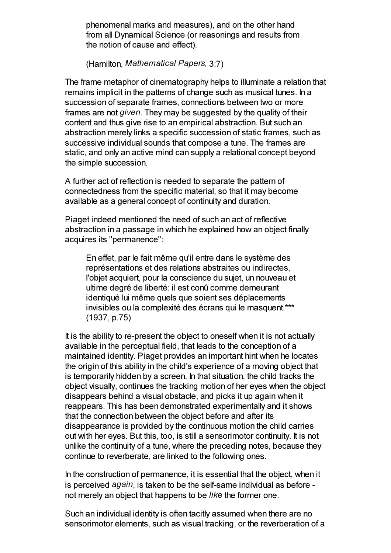phenomenal marks and measures), and on the other hand from all Dynamical Science (or reasonings and results from the notion of cause and effect).

(Hamilton, Mathematical Papers, 3:7)

The frame metaphor of cinematography helps to illuminate a relation that remains implicit in the patterns of change such as musical tunes. In a succession of separate frames, connections between two or more frames are not given. They may be suggested by the quality of their content and thus give rise to an empirical abstraction. But such an abstraction merely links a specific succession of static frames, such as successive individual sounds that compose a tune. The frames are static, and only an active mind can supply a relational concept beyond the simple succession.

A further act of reflection is needed to separate the pattern of connectedness from the specific material, so that it may become available as a general concept of continuity and duration.

Piaget indeed mentioned the need of such an act of reflective abstraction in a passage in which he explained how an object finally acquires its "permanence":

En effet, par le fait même qu'il entre dans le système des représentations et des relations abstraites ou indirectes, l'objet acquiert, pour la conscience du sujet, un nouveau et ultime degré de liberté: il est conû comme demeurant identiqué lui même quels que soient ses déplacements invisibles ou la complexité des écrans qui le masquent.\*\*\* (1937, p.75)

It is the ability to re-present the object to oneself when it is not actually available in the perceptual field, that leads to the conception of a maintained identity. Piaget provides an important hint when he locates the origin of this ability in the child's experience of a moving object that is temporarily hidden by a screen. In that situation, the child tracks the object visually, continues the tracking motion of her eyes when the object disappears behind a visual obstacle, and picks it up again when it reappears. This has been demonstrated experimentally and it shows that the connection between the object before and after its disappearance is provided by the continuous motion the child carries out with her eyes. But this, too, is still a sensorimotor continuity. It is not unlike the continuity of a tune, where the preceding notes, because they continue to reverberate, are linked to the following ones.

In the construction of permanence, it is essential that the object, when it is perceived again, is taken to be the self-same individual as before not merely an object that happens to be like the former one.

Such an individual identity is often tacitly assumed when there are no sensorimotor elements, such as visual tracking, or the reverberation of a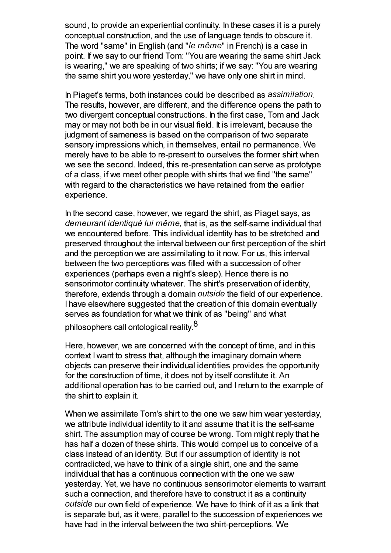sound, to provide an experiential continuity. In these cases it is a purely conceptual construction, and the use of language tends to obscure it. The word "same" in English (and "le même" in French) is a case in point. If we say to our friend Tom: "You are wearing the same shirt Jack is wearing," we are speaking of two shirts; if we say: "You are wearing the same shirt you wore yesterday," we have only one shirt in mind.

In Piaget's terms, both instances could be described as assimilation. The results, however, are different, and the difference opens the path to two divergent conceptual constructions. In the first case, Tom and Jack may or may not both be in our visual field. It is irrelevant, because the judgment of sameness is based on the comparison of two separate sensory impressions which, in themselves, entail no permanence. We merely have to be able to re-present to ourselves the former shirt when we see the second. Indeed, this re-presentation can serve as prototype of a class, if we meet other people with shirts that we find "the same" with regard to the characteristics we have retained from the earlier experience.

In the second case, however, we regard the shirt, as Piaget says, as demeurant identiqué lui même, that is, as the self-same individual that we encountered before. This individual identity has to be stretched and preserved throughout the interval between our first perception of the shirt and the perception we are assimilating to it now. For us, this interval between the two perceptions was filled with a succession of other experiences (perhaps even a night's sleep). Hence there is no sensorimotor continuity whatever. The shirt's preservation of identity, therefore, extends through a domain outside the field of our experience. I have elsewhere suggested that the creation of this domain eventually serves as foundation for what we think of as "being" and what philosophers call ontological reality.<sup>8</sup>

Here, however, we are concerned with the concept of time, and in this context I want to stress that, although the imaginary domain where objects can preserve their individual identities provides the opportunity for the construction of time, it does not by itself constitute it. An additional operation has to be carried out, and I return to the example of the shirt to explain it.

When we assimilate Tom's shirt to the one we saw him wear yesterday, we attribute individual identity to it and assume that it is the self-same shirt. The assumption may of course be wrong. Tom might reply that he has half a dozen of these shirts. This would compel us to conceive of a class instead of an identity. But if our assumption of identity is not contradicted, we have to think of a single shirt, one and the same individual that has a continuous connection with the one we saw yesterday. Yet, we have no continuous sensorimotor elements to warrant such a connection, and therefore have to construct it as a continuity outside our own field of experience. We have to think of it as a link that is separate but, as it were, parallel to the succession of experiences we have had in the interval between the two shirt-perceptions. We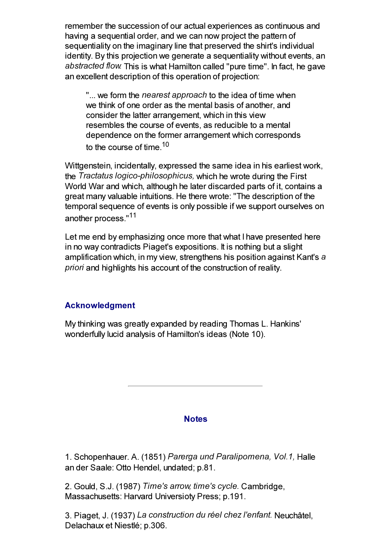remember the succession of our actual experiences as continuous and having a sequential order, and we can now project the pattern of sequentiality on the imaginary line that preserved the shirt's individual identity. By this projection we generate a sequentiality without events, an abstracted flow. This is what Hamilton called "pure time". In fact, he gave an excellent description of this operation of projection:

"... we form the *nearest approach* to the idea of time when we think of one order as the mental basis of another, and consider the latter arrangement, which in this view resembles the course of events, as reducible to a mental dependence on the former arrangement which corresponds to the course of time.  $10<sup>10</sup>$ 

Wittgenstein, incidentally, expressed the same idea in his earliest work, the Tractatus logico-philosophicus, which he wrote during the First World War and which, although he later discarded parts of it, contains a great many valuable intuitions. He there wrote: "The description of the temporal sequence of events is only possible if we support ourselves on another process."<sup>11</sup>

Let me end by emphasizing once more that what I have presented here in no way contradicts Piaget's expositions. It is nothing but a slight amplification which, in my view, strengthens his position against Kant's a priori and highlights his account of the construction of reality.

## Acknowledgment

My thinking was greatly expanded by reading Thomas L. Hankins' wonderfully lucid analysis of Hamilton's ideas (Note 10).

## **Notes**

1. Schopenhauer. A. (1851) Parerga und Paralipomena, Vol.1, Halle an der Saale: Otto Hendel, undated; p.81.

2. Gould, S.J. (1987) Time's arrow, time's cycle. Cambridge, Massachusetts: Harvard Universioty Press; p.191.

3. Piaget, J. (1937) La construction du réel chez l'enfant. Neuchâtel, Delachaux et Niestlé; p.306.